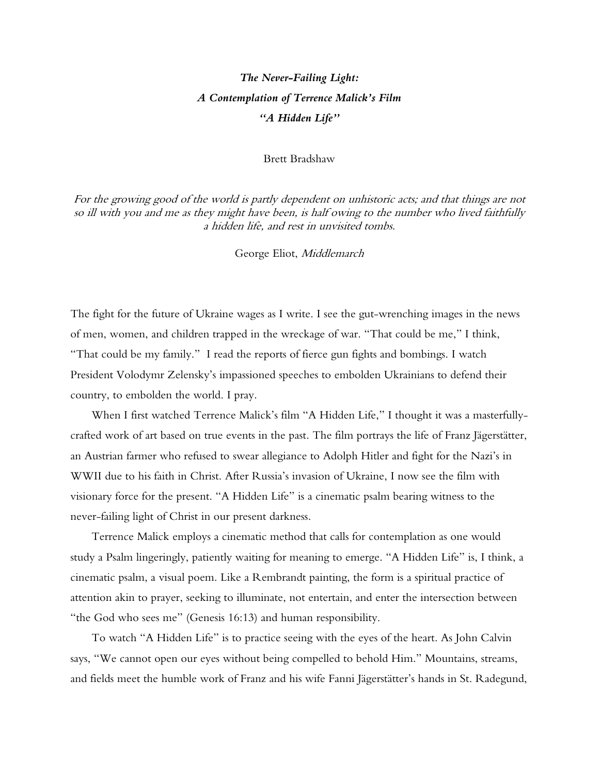## *The Never-Failing Light: A Contemplation of Terrence Malick's Film "A Hidden Life"*

## Brett Bradshaw

For the growing good of the world is partly dependent on unhistoric acts; and that things are not so ill with you and me as they might have been, is half owing to the number who lived faithfully a hidden life, and rest in unvisited tombs.

George Eliot, Middlemarch

The fight for the future of Ukraine wages as I write. I see the gut-wrenching images in the news of men, women, and children trapped in the wreckage of war. "That could be me," I think, "That could be my family." I read the reports of fierce gun fights and bombings. I watch President Volodymr Zelensky's impassioned speeches to embolden Ukrainians to defend their country, to embolden the world. I pray.

When I first watched Terrence Malick's film "A Hidden Life," I thought it was a masterfullycrafted work of art based on true events in the past. The film portrays the life of Franz Jägerstätter, an Austrian farmer who refused to swear allegiance to Adolph Hitler and fight for the Nazi's in WWII due to his faith in Christ. After Russia's invasion of Ukraine, I now see the film with visionary force for the present. "A Hidden Life" is a cinematic psalm bearing witness to the never-failing light of Christ in our present darkness.

Terrence Malick employs a cinematic method that calls for contemplation as one would study a Psalm lingeringly, patiently waiting for meaning to emerge. "A Hidden Life" is, I think, a cinematic psalm, a visual poem. Like a Rembrandt painting, the form is a spiritual practice of attention akin to prayer, seeking to illuminate, not entertain, and enter the intersection between "the God who sees me" (Genesis 16:13) and human responsibility.

To watch "A Hidden Life" is to practice seeing with the eyes of the heart. As John Calvin says, "We cannot open our eyes without being compelled to behold Him." Mountains, streams, and fields meet the humble work of Franz and his wife Fanni Jägerstätter's hands in St. Radegund,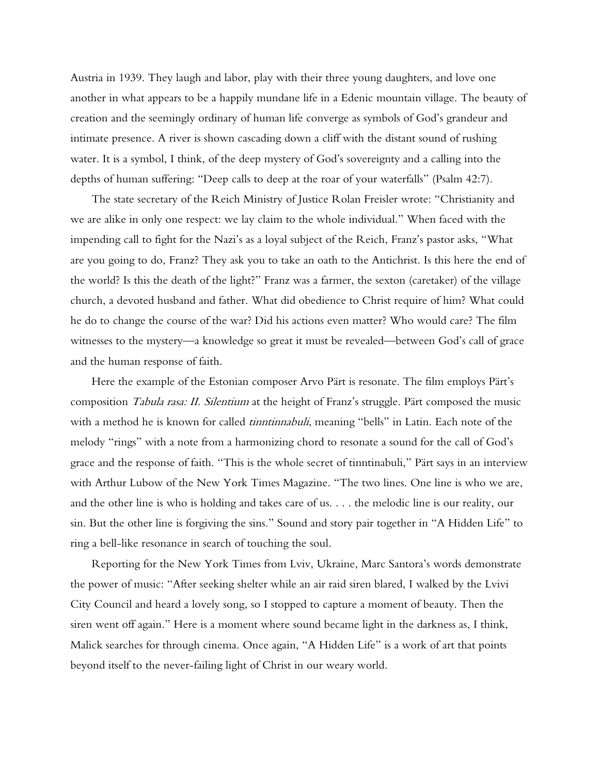Austria in 1939. They laugh and labor, play with their three young daughters, and love one another in what appears to be a happily mundane life in a Edenic mountain village. The beauty of creation and the seemingly ordinary of human life converge as symbols of God's grandeur and intimate presence. A river is shown cascading down a cliff with the distant sound of rushing water. It is a symbol, I think, of the deep mystery of God's sovereignty and a calling into the depths of human suffering: "Deep calls to deep at the roar of your waterfalls" (Psalm 42:7).

The state secretary of the Reich Ministry of Justice Rolan Freisler wrote: "Christianity and we are alike in only one respect: we lay claim to the whole individual." When faced with the impending call to fight for the Nazi's as a loyal subject of the Reich, Franz's pastor asks, "What are you going to do, Franz? They ask you to take an oath to the Antichrist. Is this here the end of the world? Is this the death of the light?" Franz was a farmer, the sexton (caretaker) of the village church, a devoted husband and father. What did obedience to Christ require of him? What could he do to change the course of the war? Did his actions even matter? Who would care? The film witnesses to the mystery—a knowledge so great it must be revealed—between God's call of grace and the human response of faith.

Here the example of the Estonian composer Arvo Pärt is resonate. The film employs Pärt's composition *Tabula rasa: II. Silentium* at the height of Franz's struggle. Pärt composed the music with a method he is known for called *tinntinnabuli*, meaning "bells" in Latin. Each note of the melody "rings" with a note from a harmonizing chord to resonate a sound for the call of God's grace and the response of faith. "This is the whole secret of tinntinabuli," Pärt says in an interview with Arthur Lubow of the New York Times Magazine. "The two lines. One line is who we are, and the other line is who is holding and takes care of us. . . . the melodic line is our reality, our sin. But the other line is forgiving the sins." Sound and story pair together in "A Hidden Life" to ring a bell-like resonance in search of touching the soul.

Reporting for the New York Times from Lviv, Ukraine, Marc Santora's words demonstrate the power of music: "After seeking shelter while an air raid siren blared, I walked by the Lvivi City Council and heard a lovely song, so I stopped to capture a moment of beauty. Then the siren went off again." Here is a moment where sound became light in the darkness as, I think, Malick searches for through cinema. Once again, "A Hidden Life" is a work of art that points beyond itself to the never-failing light of Christ in our weary world.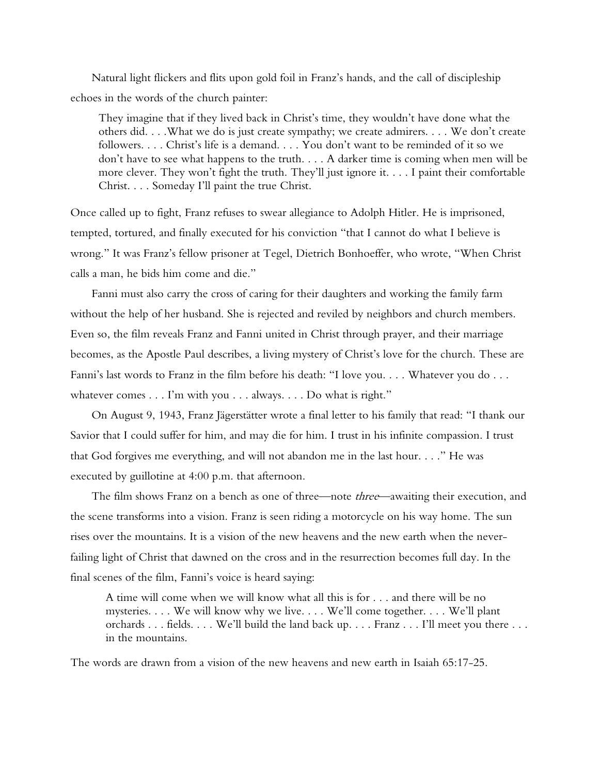Natural light flickers and flits upon gold foil in Franz's hands, and the call of discipleship echoes in the words of the church painter:

They imagine that if they lived back in Christ's time, they wouldn't have done what the others did. . . .What we do is just create sympathy; we create admirers. . . . We don't create followers. . . . Christ's life is a demand. . . . You don't want to be reminded of it so we don't have to see what happens to the truth. . . . A darker time is coming when men will be more clever. They won't fight the truth. They'll just ignore it. . . . I paint their comfortable Christ. . . . Someday I'll paint the true Christ.

Once called up to fight, Franz refuses to swear allegiance to Adolph Hitler. He is imprisoned, tempted, tortured, and finally executed for his conviction "that I cannot do what I believe is wrong." It was Franz's fellow prisoner at Tegel, Dietrich Bonhoeffer, who wrote, "When Christ calls a man, he bids him come and die."

Fanni must also carry the cross of caring for their daughters and working the family farm without the help of her husband. She is rejected and reviled by neighbors and church members. Even so, the film reveals Franz and Fanni united in Christ through prayer, and their marriage becomes, as the Apostle Paul describes, a living mystery of Christ's love for the church. These are Fanni's last words to Franz in the film before his death: "I love you. . . . Whatever you do . . . whatever comes . . . I'm with you . . . always. . . . Do what is right."

On August 9, 1943, Franz Jägerstätter wrote a final letter to his family that read: "I thank our Savior that I could suffer for him, and may die for him. I trust in his infinite compassion. I trust that God forgives me everything, and will not abandon me in the last hour. . . ." He was executed by guillotine at 4:00 p.m. that afternoon.

The film shows Franz on a bench as one of three—note *three*—awaiting their execution, and the scene transforms into a vision. Franz is seen riding a motorcycle on his way home. The sun rises over the mountains. It is a vision of the new heavens and the new earth when the neverfailing light of Christ that dawned on the cross and in the resurrection becomes full day. In the final scenes of the film, Fanni's voice is heard saying:

A time will come when we will know what all this is for . . . and there will be no mysteries. . . . We will know why we live. . . . We'll come together. . . . We'll plant orchards . . . fields. . . . We'll build the land back up. . . . Franz . . . I'll meet you there . . . in the mountains.

The words are drawn from a vision of the new heavens and new earth in Isaiah 65:17-25.